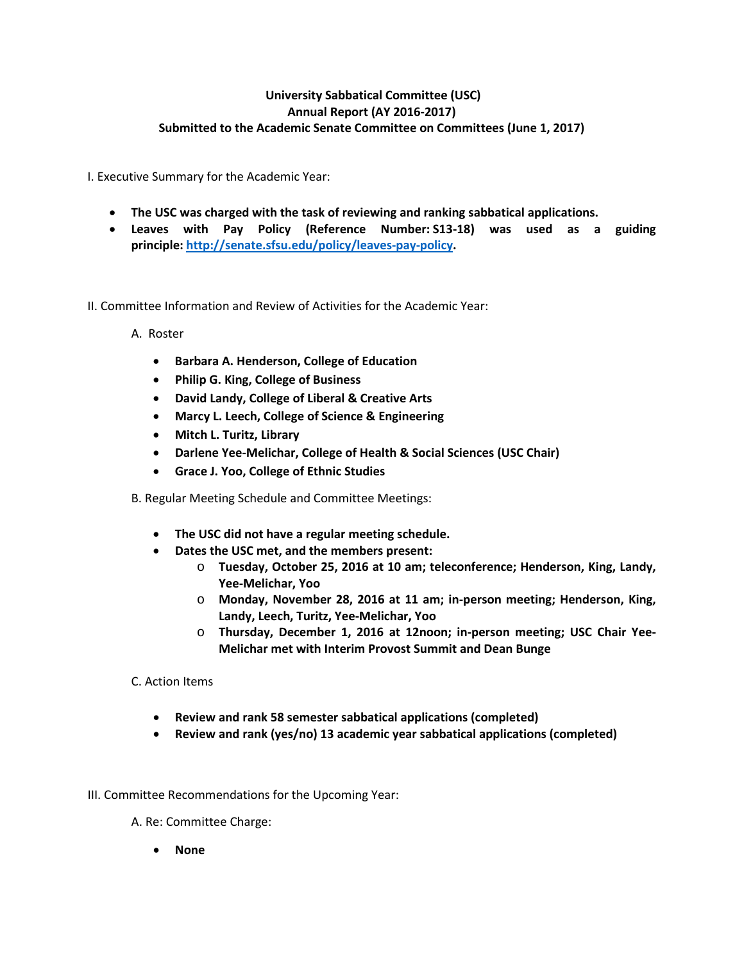## **University Sabbatical Committee (USC) Annual Report (AY 2016-2017) Submitted to the Academic Senate Committee on Committees (June 1, 2017)**

I. Executive Summary for the Academic Year:

- **The USC was charged with the task of reviewing and ranking sabbatical applications.**
- **Leaves with Pay Policy (Reference Number: S13-18) was used as a guiding principle[: http://senate.sfsu.edu/policy/leaves-pay-policy.](http://senate.sfsu.edu/policy/leaves-pay-policy)**
- II. Committee Information and Review of Activities for the Academic Year:

A. Roster

- **Barbara A. Henderson, College of Education**
- **Philip G. King, College of Business**
- **David Landy, College of Liberal & Creative Arts**
- **Marcy L. Leech, College of Science & Engineering**
- **Mitch L. Turitz, Library**
- **Darlene Yee-Melichar, College of Health & Social Sciences (USC Chair)**
- **Grace J. Yoo, College of Ethnic Studies**

B. Regular Meeting Schedule and Committee Meetings:

- **The USC did not have a regular meeting schedule.**
- **Dates the USC met, and the members present:** 
	- o **Tuesday, October 25, 2016 at 10 am; teleconference; Henderson, King, Landy, Yee-Melichar, Yoo**
	- o **Monday, November 28, 2016 at 11 am; in-person meeting; Henderson, King, Landy, Leech, Turitz, Yee-Melichar, Yoo**
	- o **Thursday, December 1, 2016 at 12noon; in-person meeting; USC Chair Yee-Melichar met with Interim Provost Summit and Dean Bunge**

C. Action Items

- **Review and rank 58 semester sabbatical applications (completed)**
- **Review and rank (yes/no) 13 academic year sabbatical applications (completed)**
- III. Committee Recommendations for the Upcoming Year:

A. Re: Committee Charge:

• **None**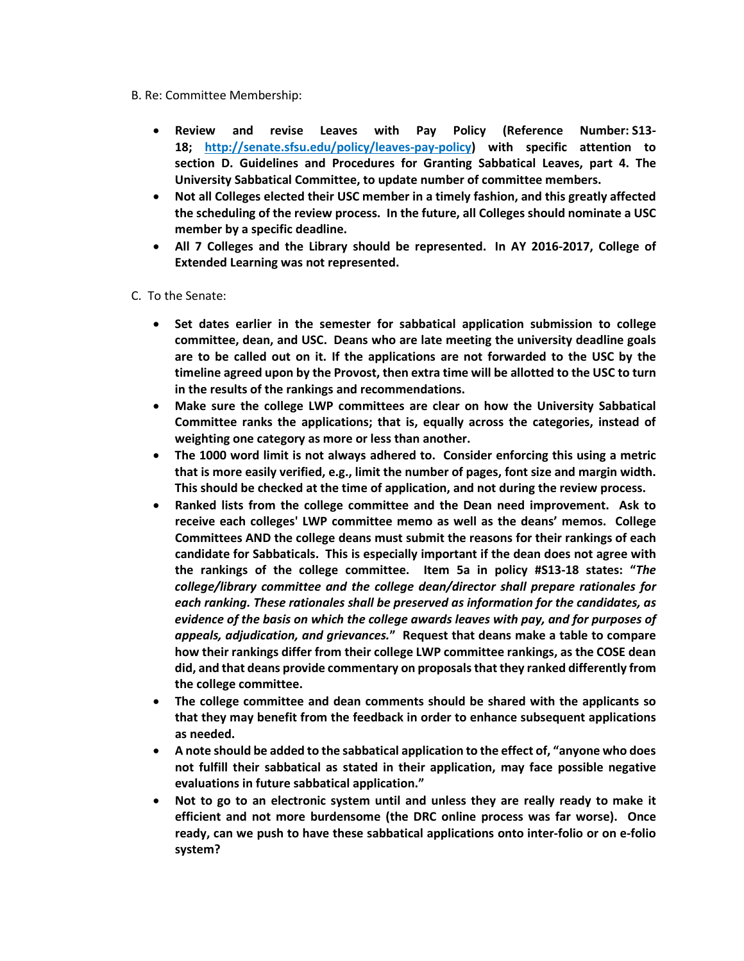## B. Re: Committee Membership:

- **Review and revise Leaves with Pay Policy (Reference Number: S13- 18; [http://senate.sfsu.edu/policy/leaves-pay-policy\)](http://senate.sfsu.edu/policy/leaves-pay-policy) with specific attention to section D. Guidelines and Procedures for Granting Sabbatical Leaves, part 4. The University Sabbatical Committee, to update number of committee members.**
- **Not all Colleges elected their USC member in a timely fashion, and this greatly affected the scheduling of the review process. In the future, all Colleges should nominate a USC member by a specific deadline.**
- **All 7 Colleges and the Library should be represented. In AY 2016-2017, College of Extended Learning was not represented.**
- C. To the Senate:
	- **Set dates earlier in the semester for sabbatical application submission to college committee, dean, and USC. Deans who are late meeting the university deadline goals are to be called out on it. If the applications are not forwarded to the USC by the timeline agreed upon by the Provost, then extra time will be allotted to the USC to turn in the results of the rankings and recommendations.**
	- **Make sure the college LWP committees are clear on how the University Sabbatical Committee ranks the applications; that is, equally across the categories, instead of weighting one category as more or less than another.**
	- **The 1000 word limit is not always adhered to. Consider enforcing this using a metric that is more easily verified, e.g., limit the number of pages, font size and margin width. This should be checked at the time of application, and not during the review process.**
	- **Ranked lists from the college committee and the Dean need improvement. Ask to receive each colleges' LWP committee memo as well as the deans' memos. College Committees AND the college deans must submit the reasons for their rankings of each candidate for Sabbaticals. This is especially important if the dean does not agree with the rankings of the college committee. Item 5a in policy #S13-18 states: "***The college/library committee and the college dean/director shall prepare rationales for each ranking. These rationales shall be preserved as information for the candidates, as evidence of the basis on which the college awards leaves with pay, and for purposes of appeals, adjudication, and grievances.***" Request that deans make a table to compare how their rankings differ from their college LWP committee rankings, as the COSE dean did, and that deans provide commentary on proposals that they ranked differently from the college committee.**
	- **The college committee and dean comments should be shared with the applicants so that they may benefit from the feedback in order to enhance subsequent applications as needed.**
	- **A note should be added to the sabbatical application to the effect of, "anyone who does not fulfill their sabbatical as stated in their application, may face possible negative evaluations in future sabbatical application."**
	- **Not to go to an electronic system until and unless they are really ready to make it efficient and not more burdensome (the DRC online process was far worse). Once ready, can we push to have these sabbatical applications onto inter-folio or on e-folio system?**